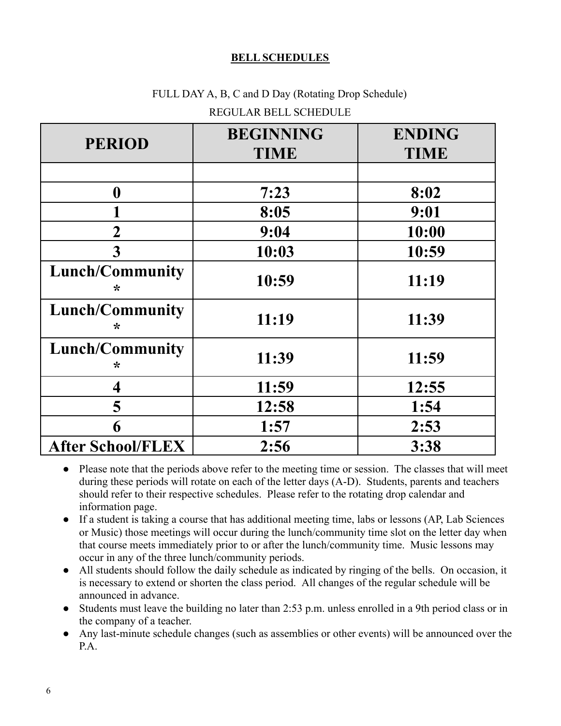## **BELL SCHEDULES**

# FULL DAY A, B, C and D Day (Rotating Drop Schedule)

| <b>PERIOD</b>               | <b>BEGINNING</b><br><b>TIME</b> | <b>ENDING</b><br><b>TIME</b> |
|-----------------------------|---------------------------------|------------------------------|
|                             |                                 |                              |
| $\boldsymbol{0}$            | 7:23                            | 8:02                         |
|                             | 8:05                            | 9:01                         |
| $\overline{2}$              | 9:04                            | 10:00                        |
| 3                           | 10:03                           | 10:59                        |
| <b>Lunch/Community</b><br>∗ | 10:59                           | 11:19                        |
| <b>Lunch/Community</b><br>∗ | 11:19                           | 11:39                        |
| <b>Lunch/Community</b><br>∗ | 11:39                           | 11:59                        |
| $\overline{\mathbf{4}}$     | 11:59                           | 12:55                        |
| 5                           | 12:58                           | 1:54                         |
| 6                           | 1:57                            | 2:53                         |
| <b>After School/FLEX</b>    | 2:56                            | 3:38                         |

## REGULAR BELL SCHEDULE

- Please note that the periods above refer to the meeting time or session. The classes that will meet during these periods will rotate on each of the letter days (A-D). Students, parents and teachers should refer to their respective schedules. Please refer to the rotating drop calendar and information page.
- If a student is taking a course that has additional meeting time, labs or lessons (AP, Lab Sciences or Music) those meetings will occur during the lunch/community time slot on the letter day when that course meets immediately prior to or after the lunch/community time. Music lessons may occur in any of the three lunch/community periods.
- All students should follow the daily schedule as indicated by ringing of the bells. On occasion, it is necessary to extend or shorten the class period. All changes of the regular schedule will be announced in advance.
- Students must leave the building no later than 2:53 p.m. unless enrolled in a 9th period class or in the company of a teacher.
- Any last-minute schedule changes (such as assemblies or other events) will be announced over the P.A.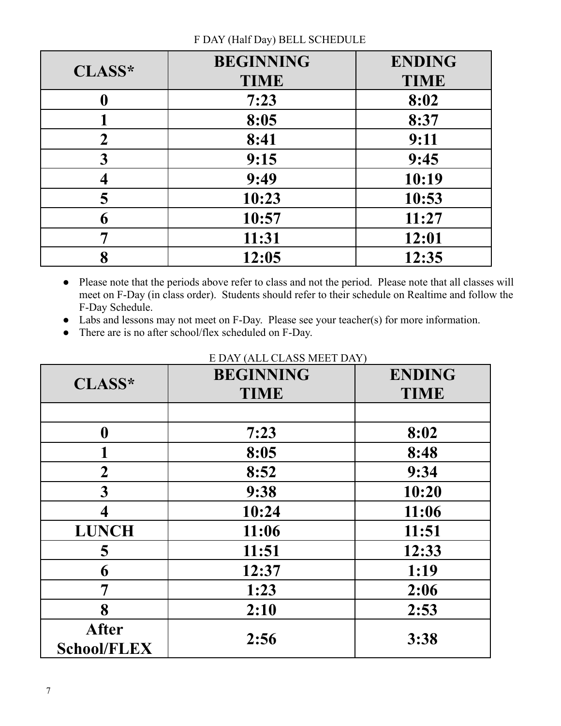| CLASS*         | <b>BEGINNING</b> | <b>ENDING</b> |
|----------------|------------------|---------------|
|                | <b>TIME</b>      | <b>TIME</b>   |
| 0              | 7:23             | 8:02          |
|                | 8:05             | 8:37          |
| $\overline{2}$ | 8:41             | 9:11          |
| 3              | 9:15             | 9:45          |
|                | 9:49             | 10:19         |
| 5              | 10:23            | 10:53         |
| 6              | 10:57            | 11:27         |
| 7              | 11:31            | 12:01         |
| 8              | 12:05            | 12:35         |

## F DAY (Half Day) BELL SCHEDULE

- Please note that the periods above refer to class and not the period. Please note that all classes will meet on F-Day (in class order). Students should refer to their schedule on Realtime and follow the F-Day Schedule.
- Labs and lessons may not meet on F-Day. Please see your teacher(s) for more information.
- There are is no after school/flex scheduled on F-Day.

| CLASS*             | <b>BEGINNING</b> | <b>ENDING</b> |
|--------------------|------------------|---------------|
|                    | <b>TIME</b>      | <b>TIME</b>   |
|                    |                  |               |
| $\boldsymbol{0}$   | 7:23             | 8:02          |
|                    | 8:05             | 8:48          |
| $\boldsymbol{2}$   | 8:52             | 9:34          |
| 3                  | 9:38             | 10:20         |
| 4                  | 10:24            | 11:06         |
| <b>LUNCH</b>       | 11:06            | 11:51         |
| 5                  | 11:51            | 12:33         |
| 6                  | 12:37            | 1:19          |
| 7                  | 1:23             | 2:06          |
| 8                  | 2:10             | 2:53          |
| <b>After</b>       |                  |               |
| <b>School/FLEX</b> | 2:56             | 3:38          |

# E DAY (ALL CLASS MEET DAY)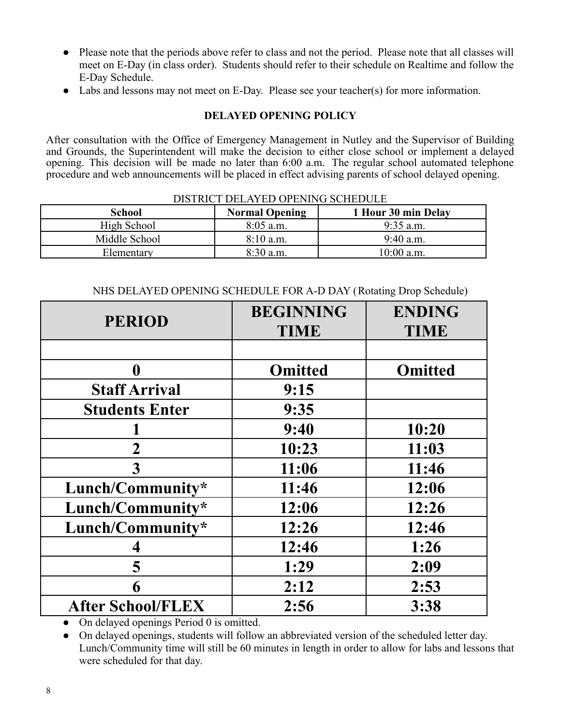- Please note that the periods above refer to class and not the period. Please note that all classes will meet on E-Day (in class order). Students should refer to their schedule on Realtime and follow the E-Day Schedule.
- Labs and lessons may not meet on E-Day. Please see your teacher(s) for more information.

### **DELAYED OPENING POLICY**

After consultation with the Office of Emergency Management in Nutley and the Supervisor of Building and Grounds, the Superintendent will make the decision to either close school or implement a delayed opening. This decision will be made no later than 6:00 a.m. The regular school automated telephone procedure and web announcements will be placed in effect advising parents of school delayed opening.

#### DISTRICT DELAYED OPENING SCHEDULE

| School        | <b>Normal Opening</b> | 1 Hour 30 min Delay |
|---------------|-----------------------|---------------------|
| High School   | $8:05$ a.m.           | $9:35$ a.m.         |
| Middle School | $8:10$ a.m.           | $9:40$ a.m.         |
| Elementary    | $8:30$ a.m.           | 10:00 a.m.          |

| NHS DELAYED OPENING SCHEDULE FOR A-D DAY (Rotating Drop Schedule) |  |
|-------------------------------------------------------------------|--|
|-------------------------------------------------------------------|--|

| <b>PERIOD</b>            | <b>BEGINNING</b><br><b>TIME</b> | <b>ENDING</b><br><b>TIME</b> |
|--------------------------|---------------------------------|------------------------------|
|                          |                                 |                              |
| $\mathbf{0}$             | <b>Omitted</b>                  | <b>Omitted</b>               |
| <b>Staff Arrival</b>     | 9:15                            |                              |
| <b>Students Enter</b>    | 9:35                            |                              |
|                          | 9:40                            | 10:20                        |
| $\overline{2}$           | 10:23                           | 11:03                        |
| 3                        | 11:06                           | 11:46                        |
| Lunch/Community*         | 11:46                           | 12:06                        |
| Lunch/Community*         | 12:06                           | 12:26                        |
| Lunch/Community*         | 12:26                           | 12:46                        |
|                          | 12:46                           | 1:26                         |
| 5                        | 1:29                            | 2:09                         |
| 6                        | 2:12                            | 2:53                         |
| <b>After School/FLEX</b> | 2:56                            | 3:38                         |

• On delayed openings Period 0 is omitted.

• On delayed openings, students will follow an abbreviated version of the scheduled letter day. Lunch/Community time will still be 60 minutes in length in order to allow for labs and lessons that were scheduled for that day.